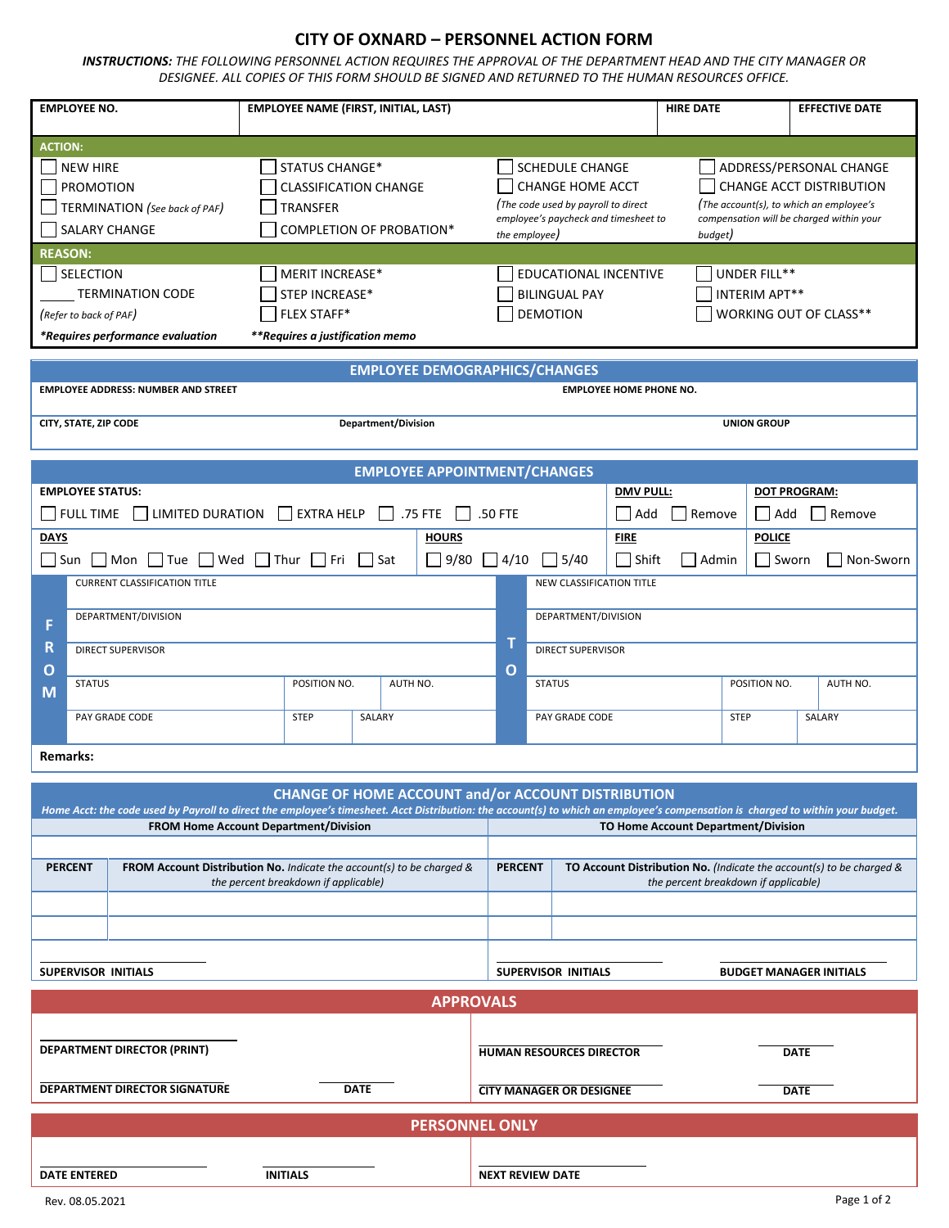## **CITY OF OXNARD – PERSONNEL ACTION FORM**

*INSTRUCTIONS: THE FOLLOWING PERSONNEL ACTION REQUIRES THE APPROVAL OF THE DEPARTMENT HEAD AND THE CITY MANAGER OR DESIGNEE. ALL COPIES OF THIS FORM SHOULD BE SIGNED AND RETURNED TO THE HUMAN RESOURCES OFFICE.*

|                                                                                         | <b>EMPLOYEE NO.</b>                                                                                                                                                                           | <b>EMPLOYEE NAME (FIRST, INITIAL, LAST)</b>               |  |                                     |                                                                                                                                                                                                                                                                                                                   |                                                                                |                                                 |                  | <b>HIRE DATE</b>       |                                      |                     | <b>EFFECTIVE DATE</b> |  |  |
|-----------------------------------------------------------------------------------------|-----------------------------------------------------------------------------------------------------------------------------------------------------------------------------------------------|-----------------------------------------------------------|--|-------------------------------------|-------------------------------------------------------------------------------------------------------------------------------------------------------------------------------------------------------------------------------------------------------------------------------------------------------------------|--------------------------------------------------------------------------------|-------------------------------------------------|------------------|------------------------|--------------------------------------|---------------------|-----------------------|--|--|
| <b>ACTION:</b>                                                                          |                                                                                                                                                                                               |                                                           |  |                                     |                                                                                                                                                                                                                                                                                                                   |                                                                                |                                                 |                  |                        |                                      |                     |                       |  |  |
|                                                                                         | STATUS CHANGE*<br><b>NEW HIRE</b><br><b>PROMOTION</b><br><b>CLASSIFICATION CHANGE</b><br>TERMINATION (See back of PAF)<br>TRANSFER<br><b>SALARY CHANGE</b><br><b>COMPLETION OF PROBATION*</b> |                                                           |  |                                     | <b>SCHEDULE CHANGE</b><br>ADDRESS/PERSONAL CHANGE<br><b>CHANGE HOME ACCT</b><br><b>CHANGE ACCT DISTRIBUTION</b><br>(The code used by payroll to direct<br>(The account(s), to which an employee's<br>employee's paycheck and timesheet to<br>compensation will be charged within your<br>the employee)<br>budget) |                                                                                |                                                 |                  |                        |                                      |                     |                       |  |  |
| <b>REASON:</b>                                                                          |                                                                                                                                                                                               |                                                           |  |                                     |                                                                                                                                                                                                                                                                                                                   |                                                                                |                                                 |                  |                        |                                      |                     |                       |  |  |
| SELECTION<br><b>MERIT INCREASE*</b><br>STEP INCREASE*<br><b>TERMINATION CODE</b>        |                                                                                                                                                                                               |                                                           |  |                                     |                                                                                                                                                                                                                                                                                                                   | EDUCATIONAL INCENTIVE<br>UNDER FILL**<br><b>BILINGUAL PAY</b><br>INTERIM APT** |                                                 |                  |                        |                                      |                     |                       |  |  |
|                                                                                         | <b>FLEX STAFF*</b><br>(Refer to back of PAF)                                                                                                                                                  |                                                           |  |                                     |                                                                                                                                                                                                                                                                                                                   |                                                                                | <b>DEMOTION</b>                                 |                  | WORKING OUT OF CLASS** |                                      |                     |                       |  |  |
| *Requires performance evaluation<br>**Requires a justification memo                     |                                                                                                                                                                                               |                                                           |  |                                     |                                                                                                                                                                                                                                                                                                                   |                                                                                |                                                 |                  |                        |                                      |                     |                       |  |  |
| <b>EMPLOYEE DEMOGRAPHICS/CHANGES</b>                                                    |                                                                                                                                                                                               |                                                           |  |                                     |                                                                                                                                                                                                                                                                                                                   |                                                                                |                                                 |                  |                        |                                      |                     |                       |  |  |
| <b>EMPLOYEE HOME PHONE NO.</b><br><b>EMPLOYEE ADDRESS: NUMBER AND STREET</b>            |                                                                                                                                                                                               |                                                           |  |                                     |                                                                                                                                                                                                                                                                                                                   |                                                                                |                                                 |                  |                        |                                      |                     |                       |  |  |
| CITY, STATE, ZIP CODE<br><b>Department/Division</b>                                     |                                                                                                                                                                                               |                                                           |  |                                     |                                                                                                                                                                                                                                                                                                                   | <b>UNION GROUP</b>                                                             |                                                 |                  |                        |                                      |                     |                       |  |  |
|                                                                                         |                                                                                                                                                                                               |                                                           |  | <b>EMPLOYEE APPOINTMENT/CHANGES</b> |                                                                                                                                                                                                                                                                                                                   |                                                                                |                                                 |                  |                        |                                      |                     |                       |  |  |
|                                                                                         | <b>EMPLOYEE STATUS:</b>                                                                                                                                                                       |                                                           |  |                                     |                                                                                                                                                                                                                                                                                                                   |                                                                                |                                                 | <b>DMV PULL:</b> |                        |                                      | <b>DOT PROGRAM:</b> |                       |  |  |
|                                                                                         | $\Box$ FULL TIME $\Box$ LIMITED DURATION $\Box$ EXTRA HELP<br>$\Box$ .75 FTE                                                                                                                  |                                                           |  |                                     | .50 FTE                                                                                                                                                                                                                                                                                                           |                                                                                |                                                 | Add              | Remove<br>│   Add      |                                      |                     | Remove                |  |  |
| <b>DAYS</b>                                                                             |                                                                                                                                                                                               |                                                           |  | <b>HOURS</b>                        |                                                                                                                                                                                                                                                                                                                   |                                                                                |                                                 | <b>FIRE</b>      |                        |                                      | <b>POLICE</b>       |                       |  |  |
|                                                                                         | $\Box$ Sun $\Box$ Mon $\Box$ Tue $\Box$ Wed $\Box$ Thur $\Box$ Fri $\Box$ Sat                                                                                                                 |                                                           |  |                                     | $\Box$ 9/80 $\Box$ 4/10                                                                                                                                                                                                                                                                                           |                                                                                | $\lfloor$ 5/40                                  | $\exists$ Shift  | Admin                  |                                      | Sworn               | Non-Sworn             |  |  |
|                                                                                         | <b>CURRENT CLASSIFICATION TITLE</b>                                                                                                                                                           |                                                           |  |                                     |                                                                                                                                                                                                                                                                                                                   |                                                                                | NEW CLASSIFICATION TITLE                        |                  |                        |                                      |                     |                       |  |  |
| F                                                                                       | DEPARTMENT/DIVISION                                                                                                                                                                           |                                                           |  |                                     |                                                                                                                                                                                                                                                                                                                   |                                                                                | DEPARTMENT/DIVISION                             |                  |                        |                                      |                     |                       |  |  |
| R                                                                                       | <b>DIRECT SUPERVISOR</b>                                                                                                                                                                      |                                                           |  |                                     |                                                                                                                                                                                                                                                                                                                   |                                                                                | т<br><b>DIRECT SUPERVISOR</b><br>$\overline{O}$ |                  |                        |                                      |                     |                       |  |  |
| O<br>М                                                                                  | <b>STATUS</b>                                                                                                                                                                                 | POSITION NO.<br>AUTH NO.                                  |  |                                     |                                                                                                                                                                                                                                                                                                                   | <b>STATUS</b>                                                                  |                                                 |                  |                        | POSITION NO.                         |                     | AUTH NO.              |  |  |
|                                                                                         | PAY GRADE CODE                                                                                                                                                                                | <b>STEP</b><br>SALARY                                     |  |                                     |                                                                                                                                                                                                                                                                                                                   | PAY GRADE CODE                                                                 |                                                 |                  | <b>STEP</b>            |                                      |                     | SALARY                |  |  |
| <b>Remarks:</b>                                                                         |                                                                                                                                                                                               |                                                           |  |                                     |                                                                                                                                                                                                                                                                                                                   |                                                                                |                                                 |                  |                        |                                      |                     |                       |  |  |
|                                                                                         |                                                                                                                                                                                               |                                                           |  |                                     |                                                                                                                                                                                                                                                                                                                   |                                                                                |                                                 |                  |                        |                                      |                     |                       |  |  |
|                                                                                         | Home Acct: the code used by Payroll to direct the employee's timesheet. Acct Distribution: the account(s) to which an employee's compensation is charged to within your budget.               | <b>CHANGE OF HOME ACCOUNT and/or ACCOUNT DISTRIBUTION</b> |  |                                     |                                                                                                                                                                                                                                                                                                                   |                                                                                |                                                 |                  |                        |                                      |                     |                       |  |  |
|                                                                                         |                                                                                                                                                                                               | FROM Home Account Department/Division                     |  |                                     | <b>TO Home Account Department/Division</b>                                                                                                                                                                                                                                                                        |                                                                                |                                                 |                  |                        |                                      |                     |                       |  |  |
| FROM Account Distribution No. Indicate the account(s) to be charged &<br><b>PERCENT</b> |                                                                                                                                                                                               |                                                           |  |                                     | TO Account Distribution No. (Indicate the account(s) to be charged &<br><b>PERCENT</b>                                                                                                                                                                                                                            |                                                                                |                                                 |                  |                        |                                      |                     |                       |  |  |
|                                                                                         |                                                                                                                                                                                               | the percent breakdown if applicable)                      |  |                                     |                                                                                                                                                                                                                                                                                                                   |                                                                                |                                                 |                  |                        | the percent breakdown if applicable) |                     |                       |  |  |
|                                                                                         |                                                                                                                                                                                               |                                                           |  |                                     |                                                                                                                                                                                                                                                                                                                   |                                                                                |                                                 |                  |                        |                                      |                     |                       |  |  |
|                                                                                         |                                                                                                                                                                                               |                                                           |  |                                     |                                                                                                                                                                                                                                                                                                                   |                                                                                |                                                 |                  |                        |                                      |                     |                       |  |  |
| <b>SUPERVISOR INITIALS</b>                                                              |                                                                                                                                                                                               |                                                           |  |                                     |                                                                                                                                                                                                                                                                                                                   | SUPERVISOR INITIALS<br><b>BUDGET MANAGER INITIALS</b>                          |                                                 |                  |                        |                                      |                     |                       |  |  |
|                                                                                         |                                                                                                                                                                                               |                                                           |  |                                     |                                                                                                                                                                                                                                                                                                                   |                                                                                |                                                 |                  |                        |                                      |                     |                       |  |  |
| <b>APPROVALS</b>                                                                        |                                                                                                                                                                                               |                                                           |  |                                     |                                                                                                                                                                                                                                                                                                                   |                                                                                |                                                 |                  |                        |                                      |                     |                       |  |  |
| <b>DEPARTMENT DIRECTOR (PRINT)</b>                                                      |                                                                                                                                                                                               |                                                           |  |                                     |                                                                                                                                                                                                                                                                                                                   | HUMAN RESOURCES DIRECTOR<br><b>DATE</b>                                        |                                                 |                  |                        |                                      |                     |                       |  |  |
| DEPARTMENT DIRECTOR SIGNATURE<br><b>DATE</b>                                            |                                                                                                                                                                                               |                                                           |  |                                     |                                                                                                                                                                                                                                                                                                                   | <b>CITY MANAGER OR DESIGNEE</b><br><b>DATE</b>                                 |                                                 |                  |                        |                                      |                     |                       |  |  |
| <b>PERSONNEL ONLY</b>                                                                   |                                                                                                                                                                                               |                                                           |  |                                     |                                                                                                                                                                                                                                                                                                                   |                                                                                |                                                 |                  |                        |                                      |                     |                       |  |  |
|                                                                                         |                                                                                                                                                                                               |                                                           |  |                                     |                                                                                                                                                                                                                                                                                                                   |                                                                                |                                                 |                  |                        |                                      |                     |                       |  |  |
| <b>DATE ENTERED</b><br><b>INITIALS</b>                                                  |                                                                                                                                                                                               |                                                           |  |                                     | <b>NEXT REVIEW DATE</b>                                                                                                                                                                                                                                                                                           |                                                                                |                                                 |                  |                        |                                      |                     |                       |  |  |